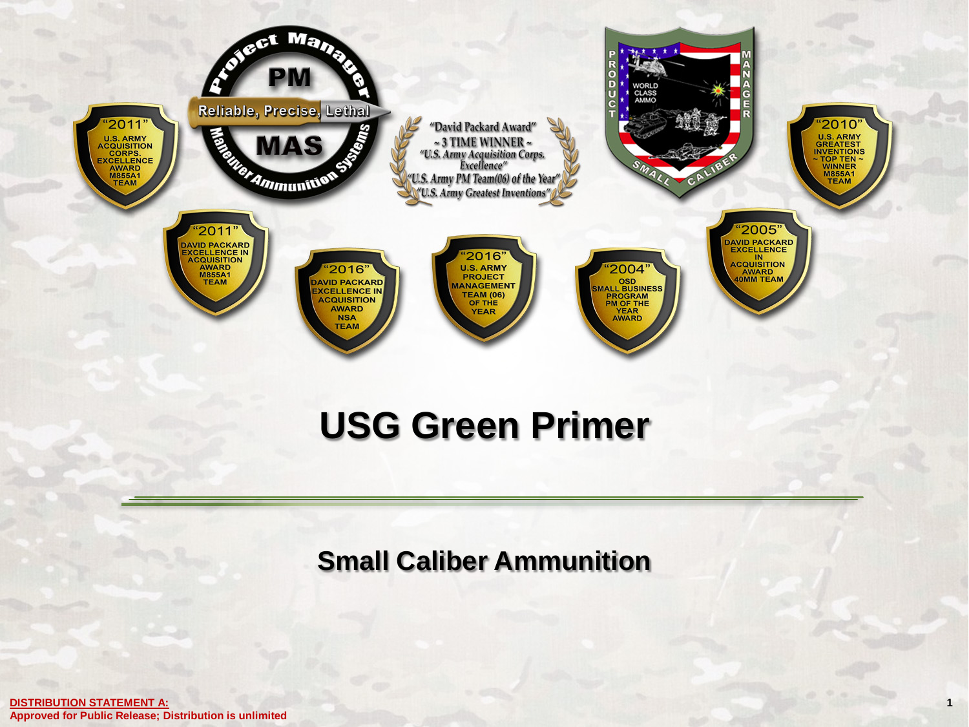

### **USG Green Primer**

**Small Caliber Ammunition**

**1**

**DISTRIBUTION STATEMENT A: Approved for Public Release; Distribution is unlimited**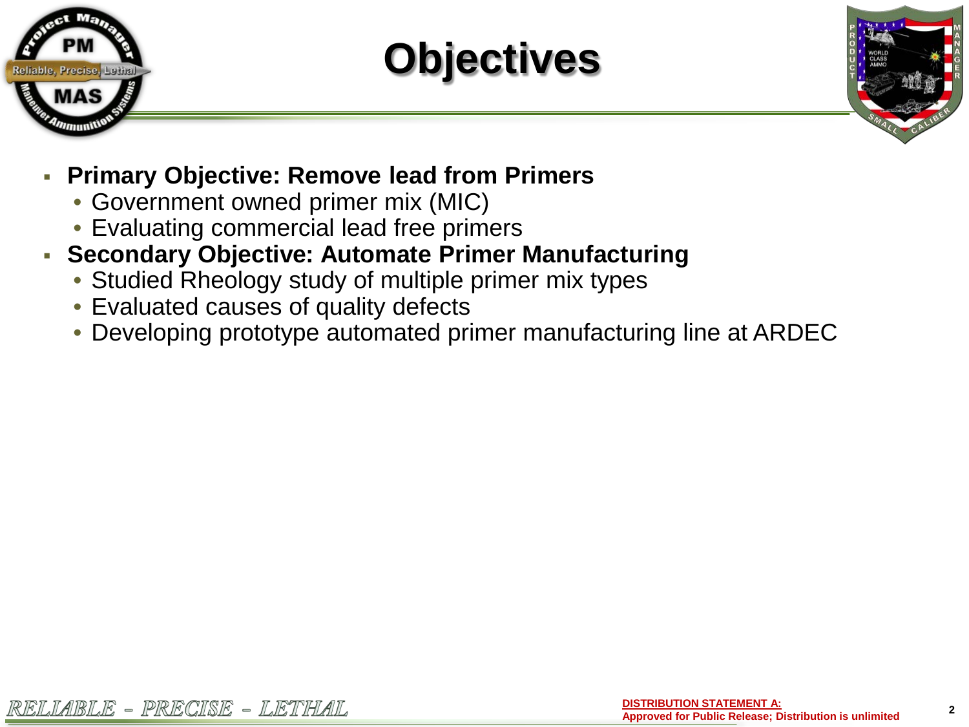

**Objectives**



**2**

- **Primary Objective: Remove lead from Primers**
	- Government owned primer mix (MIC)
	- Evaluating commercial lead free primers
- **Secondary Objective: Automate Primer Manufacturing**
	- Studied Rheology study of multiple primer mix types
	- Evaluated causes of quality defects
	- Developing prototype automated primer manufacturing line at ARDEC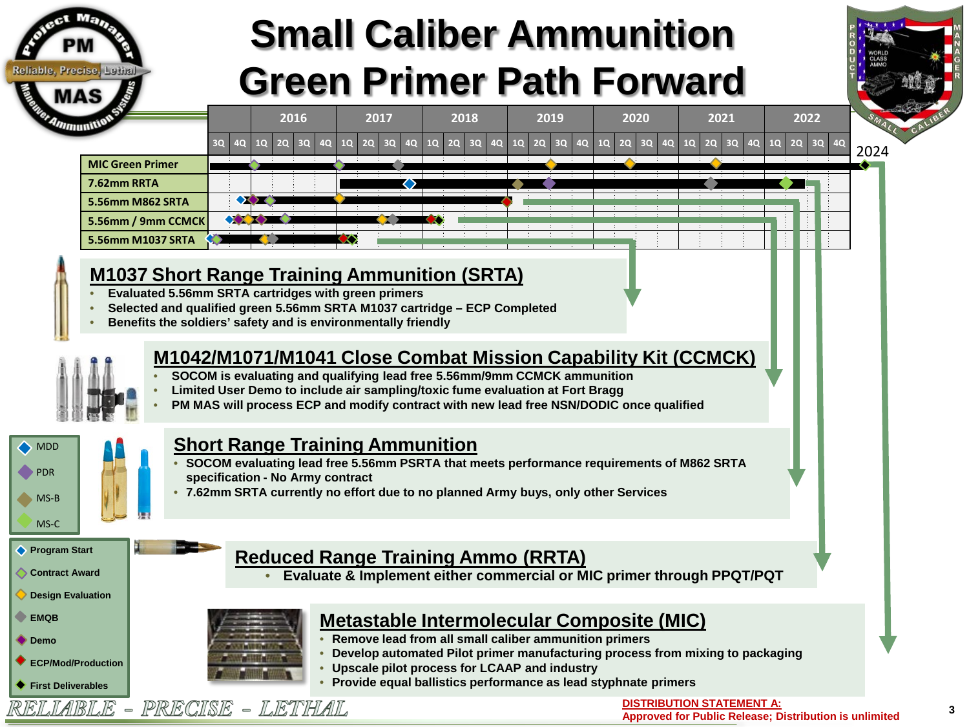

## **Small Caliber Ammunition Green Primer Path Forward**

**2016 2017 2018 2019 2020 2021 2022**



|                         |  |  | 30 <sup>1</sup> | 40 <sup>1</sup> | $20 \overline{30}$ |  |  | $1Q$ $2Q$ $3Q$ | 10 I |  |  | 2Q 3Q 4Q 1Q 2Q 3Q | 4Q 1Q 2Q 3Q |  | 4Q | 1Q | 2Q | 3Q | <b>40</b> |  |
|-------------------------|--|--|-----------------|-----------------|--------------------|--|--|----------------|------|--|--|-------------------|-------------|--|----|----|----|----|-----------|--|
| <b>MIC Green Primer</b> |  |  |                 |                 |                    |  |  |                |      |  |  |                   |             |  |    |    |    |    |           |  |
| 7.62mm RRTA             |  |  |                 |                 |                    |  |  |                |      |  |  |                   |             |  |    |    |    |    |           |  |
| 5.56mm M862 SRTA        |  |  |                 |                 |                    |  |  |                |      |  |  |                   |             |  |    |    |    |    |           |  |
| 5.56mm / 9mm CCMCK      |  |  |                 |                 |                    |  |  |                |      |  |  |                   |             |  |    |    |    |    |           |  |
| 5.56mm M1037 SRTA       |  |  |                 |                 |                    |  |  |                |      |  |  |                   |             |  |    |    |    |    |           |  |

#### **M1037 Short Range Training Ammunition (SRTA)**

- **Evaluated 5.56mm SRTA cartridges with green primers**
- **Selected and qualified green 5.56mm SRTA M1037 cartridge – ECP Completed**
- **Benefits the soldiers' safety and is environmentally friendly**



#### **M1042/M1071/M1041 Close Combat Mission Capability Kit (CCMCK)**

- **SOCOM is evaluating and qualifying lead free 5.56mm/9mm CCMCK ammunition**
- **Limited User Demo to include air sampling/toxic fume evaluation at Fort Bragg**
- **PM MAS will process ECP and modify contract with new lead free NSN/DODIC once qualified**



#### **Short Range Training Ammunition**

- **SOCOM evaluating lead free 5.56mm PSRTA that meets performance requirements of M862 SRTA specification - No Army contract**
- **7.62mm SRTA currently no effort due to no planned Army buys, only other Services**

#### **Reduced Range Training Ammo (RRTA)**

• **Evaluate & Implement either commercial or MIC primer through PPQT/PQT**

#### **Design Evaluation**

**Program Start Contract Award**

**EMQB**

MS-B MS-C

- **Demo**
- **ECP/Mod/Production**
- **First Deliverables** RELIABLE



PRECISE - LETHAIL

### **Metastable Intermolecular Composite (MIC)**

- **Remove lead from all small caliber ammunition primers**
- **Develop automated Pilot primer manufacturing process from mixing to packaging**
- **Upscale pilot process for LCAAP and industry**
- **Provide equal ballistics performance as lead styphnate primers**

**DISTRIBUTION STATEMENT A:**

**Approved for Public Release; Distribution is unlimited**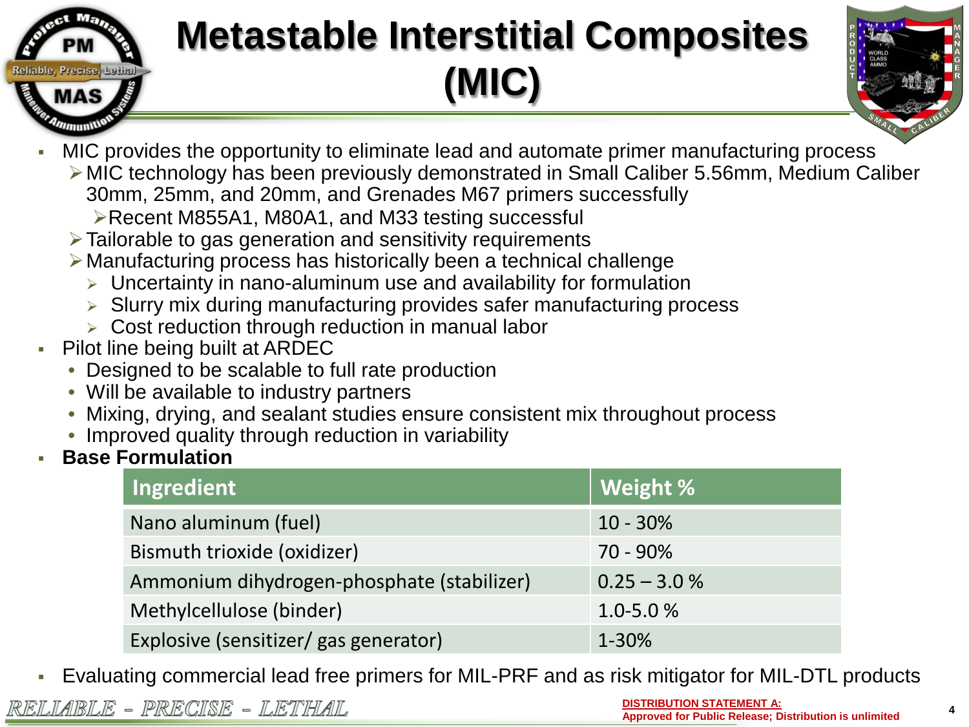

# **Metastable Interstitial Composites (MIC)**



- MIC provides the opportunity to eliminate lead and automate primer manufacturing process
	- MIC technology has been previously demonstrated in Small Caliber 5.56mm, Medium Caliber
		- 30mm, 25mm, and 20mm, and Grenades M67 primers successfully
		- ▶Recent M855A1, M80A1, and M33 testing successful
	- Tailorable to gas generation and sensitivity requirements
	- Manufacturing process has historically been a technical challenge
		- $\triangleright$  Uncertainty in nano-aluminum use and availability for formulation
		- > Slurry mix during manufacturing provides safer manufacturing process
		- $\triangleright$  Cost reduction through reduction in manual labor
- Pilot line being built at ARDEC
	- Designed to be scalable to full rate production
	- Will be available to industry partners
	- Mixing, drying, and sealant studies ensure consistent mix throughout process
	- Improved quality through reduction in variability
- **Base Formulation**

| Ingredient                                 | Weight %       |
|--------------------------------------------|----------------|
| Nano aluminum (fuel)                       | $10 - 30\%$    |
| Bismuth trioxide (oxidizer)                | 70 - 90%       |
| Ammonium dihydrogen-phosphate (stabilizer) | $0.25 - 3.0 %$ |
| Methylcellulose (binder)                   | $1.0 - 5.0 %$  |
| Explosive (sensitizer/ gas generator)      | 1-30%          |

Evaluating commercial lead free primers for MIL-PRF and as risk mitigator for MIL-DTL products

**DISTRIBUTION STATEMENT A: Approved for Public Release; Distribution is unlimited**